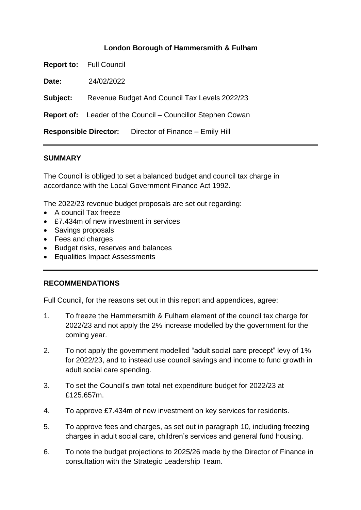## **London Borough of Hammersmith & Fulham**

**Report to:** Full Council

**Date:** 24/02/2022

**Subject:** Revenue Budget And Council Tax Levels 2022/23

**Report of:** Leader of the Council – Councillor Stephen Cowan

**Responsible Director:** Director of Finance – Emily Hill

### **SUMMARY**

The Council is obliged to set a balanced budget and council tax charge in accordance with the Local Government Finance Act 1992.

The 2022/23 revenue budget proposals are set out regarding:

- A council Tax freeze
- £7.434m of new investment in services
- Savings proposals
- Fees and charges
- Budget risks, reserves and balances
- Equalities Impact Assessments

### **RECOMMENDATIONS**

Full Council, for the reasons set out in this report and appendices, agree:

- 1. To freeze the Hammersmith & Fulham element of the council tax charge for 2022/23 and not apply the 2% increase modelled by the government for the coming year.
- 2. To not apply the government modelled "adult social care precept" levy of 1% for 2022/23, and to instead use council savings and income to fund growth in adult social care spending.
- 3. To set the Council's own total net expenditure budget for 2022/23 at £125.657m.
- 4. To approve £7.434m of new investment on key services for residents.
- 5. To approve fees and charges, as set out in paragraph 10, including freezing charges in adult social care, children's services and general fund housing.
- 6. To note the budget projections to 2025/26 made by the Director of Finance in consultation with the Strategic Leadership Team.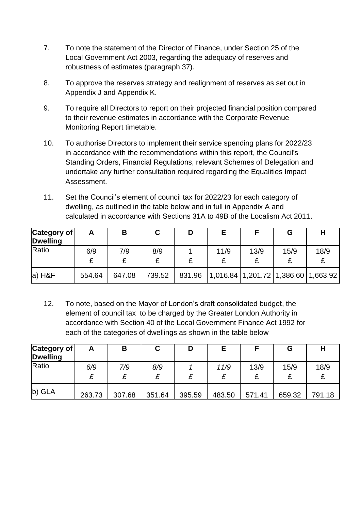- 7. To note the statement of the Director of Finance, under Section 25 of the Local Government Act 2003, regarding the adequacy of reserves and robustness of estimates (paragraph 37).
- 8. To approve the reserves strategy and realignment of reserves as set out in Appendix J and Appendix K.
- 9. To require all Directors to report on their projected financial position compared to their revenue estimates in accordance with the Corporate Revenue Monitoring Report timetable.
- 10. To authorise Directors to implement their service spending plans for 2022/23 in accordance with the recommendations within this report, the Council's Standing Orders, Financial Regulations, relevant Schemes of Delegation and undertake any further consultation required regarding the Equalities Impact Assessment.
- 11. Set the Council's element of council tax for 2022/23 for each category of dwelling, as outlined in the table below and in full in Appendix A and calculated in accordance with Sections 31A to 49B of the Localism Act 2011.

| Category of<br><b>Dwelling</b> | Α      | В      |        | D      | Е    |      | G    |                                             |
|--------------------------------|--------|--------|--------|--------|------|------|------|---------------------------------------------|
| Ratio                          | 6/9    | 7/9    | 8/9    |        | 11/9 | 13/9 | 15/9 | 18/9                                        |
| $ a $ H&F                      | 554.64 | 647.08 | 739.52 | 831.96 |      |      |      | $(1,016.84)$ 1,201.72 $(1,386.60)$ 1,663.92 |

12. To note, based on the Mayor of London's draft consolidated budget, the element of council tax to be charged by the Greater London Authority in accordance with Section 40 of the Local Government Finance Act 1992 for each of the categories of dwellings as shown in the table below

| Category of<br><b>Dwelling</b> | Α      | В      | С      | D      | Е      |        | G      |        |
|--------------------------------|--------|--------|--------|--------|--------|--------|--------|--------|
| Ratio                          | 6/9    | 7/9    | 8/9    |        | 11/9   | 13/9   | 15/9   | 18/9   |
| $\vert$ b) GLA                 | 263.73 | 307.68 | 351.64 | 395.59 | 483.50 | 571.41 | 659.32 | 791.18 |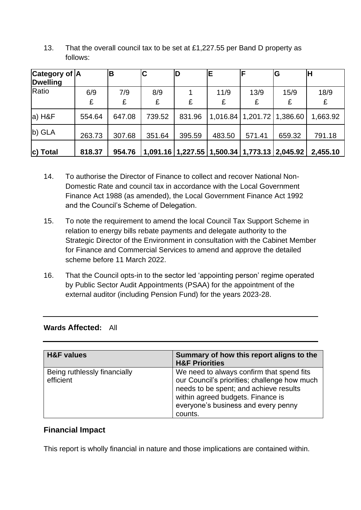| <b>Category of A</b><br><b>Dwelling</b> |          | B        | C        |        | E                                                    | F                              | G         | H         |
|-----------------------------------------|----------|----------|----------|--------|------------------------------------------------------|--------------------------------|-----------|-----------|
| Ratio                                   | 6/9<br>£ | 7/9<br>£ | 8/9<br>£ | £      | 11/9<br>£                                            | 13/9<br>£                      | 15/9<br>£ | 18/9<br>£ |
| a) H&F                                  | 554.64   | 647.08   | 739.52   | 831.96 |                                                      | 1,016.84   1,201.72   1,386.60 |           | 1,663.92  |
| b) GLA                                  | 263.73   | 307.68   | 351.64   | 395.59 | 483.50                                               | 571.41                         | 659.32    | 791.18    |
| c) Total                                | 818.37   | 954.76   |          |        | 1,091.16   1,227.55   1,500.34   1,773.13   2,045.92 |                                |           | 2,455.10  |

13. That the overall council tax to be set at £1,227.55 per Band D property as follows:

- 14. To authorise the Director of Finance to collect and recover National Non-Domestic Rate and council tax in accordance with the Local Government Finance Act 1988 (as amended), the Local Government Finance Act 1992 and the Council's Scheme of Delegation.
- 15. To note the requirement to amend the local Council Tax Support Scheme in relation to energy bills rebate payments and delegate authority to the Strategic Director of the Environment in consultation with the Cabinet Member for Finance and Commercial Services to amend and approve the detailed scheme before 11 March 2022.
- 16. That the Council opts-in to the sector led 'appointing person' regime operated by Public Sector Audit Appointments (PSAA) for the appointment of the external auditor (including Pension Fund) for the years 2023-28.

## **Wards Affected:** All

| <b>H&amp;F</b> values                     | Summary of how this report aligns to the<br><b>H&amp;F Priorities</b>                                                                                                                                                      |
|-------------------------------------------|----------------------------------------------------------------------------------------------------------------------------------------------------------------------------------------------------------------------------|
| Being ruthlessly financially<br>efficient | We need to always confirm that spend fits<br>our Council's priorities; challenge how much<br>needs to be spent; and achieve results<br>within agreed budgets. Finance is<br>everyone's business and every penny<br>counts. |

# **Financial Impact**

This report is wholly financial in nature and those implications are contained within.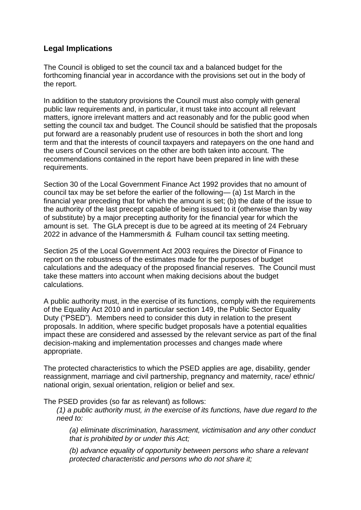# **Legal Implications**

The Council is obliged to set the council tax and a balanced budget for the forthcoming financial year in accordance with the provisions set out in the body of the report.

In addition to the statutory provisions the Council must also comply with general public law requirements and, in particular, it must take into account all relevant matters, ignore irrelevant matters and act reasonably and for the public good when setting the council tax and budget. The Council should be satisfied that the proposals put forward are a reasonably prudent use of resources in both the short and long term and that the interests of council taxpayers and ratepayers on the one hand and the users of Council services on the other are both taken into account. The recommendations contained in the report have been prepared in line with these requirements.

Section 30 of the Local Government Finance Act 1992 provides that no amount of council tax may be set before the earlier of the following— (a) 1st March in the financial year preceding that for which the amount is set; (b) the date of the issue to the authority of the last precept capable of being issued to it (otherwise than by way of substitute) by a major precepting authority for the financial year for which the amount is set. The GLA precept is due to be agreed at its meeting of 24 February 2022 in advance of the Hammersmith & Fulham council tax setting meeting.

Section 25 of the Local Government Act 2003 requires the Director of Finance to report on the robustness of the estimates made for the purposes of budget calculations and the adequacy of the proposed financial reserves. The Council must take these matters into account when making decisions about the budget calculations.

A public authority must, in the exercise of its functions, comply with the requirements of the Equality Act 2010 and in particular section 149, the Public Sector Equality Duty ("PSED"). Members need to consider this duty in relation to the present proposals. In addition, where specific budget proposals have a potential equalities impact these are considered and assessed by the relevant service as part of the final decision-making and implementation processes and changes made where appropriate.

The protected characteristics to which the PSED applies are age, disability, gender reassignment, marriage and civil partnership, pregnancy and maternity, race/ ethnic/ national origin, sexual orientation, religion or belief and sex.

The PSED provides (so far as relevant) as follows:

*(1) a public authority must, in the exercise of its functions, have due regard to the need to:*

*(a) eliminate discrimination, harassment, victimisation and any other conduct that is prohibited by or under this Act;*

*(b) advance equality of opportunity between persons who share a relevant protected characteristic and persons who do not share it;*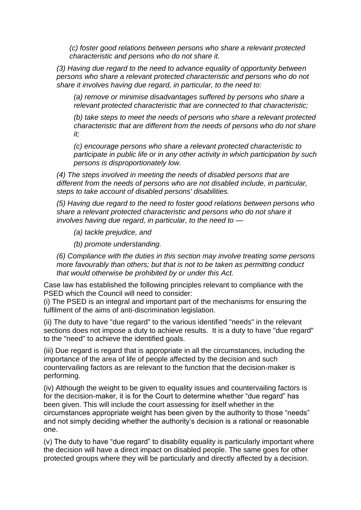*(c) foster good relations between persons who share a relevant protected characteristic and persons who do not share it.*

*(3) Having due regard to the need to advance equality of opportunity between persons who share a relevant protected characteristic and persons who do not share it involves having due regard, in particular, to the need to:*

*(a) remove or minimise disadvantages suffered by persons who share a relevant protected characteristic that are connected to that characteristic;*

*(b) take steps to meet the needs of persons who share a relevant protected characteristic that are different from the needs of persons who do not share it;*

*(c) encourage persons who share a relevant protected characteristic to participate in public life or in any other activity in which participation by such persons is disproportionately low.*

*(4) The steps involved in meeting the needs of disabled persons that are different from the needs of persons who are not disabled include, in particular, steps to take account of disabled persons' disabilities.*

*(5) Having due regard to the need to foster good relations between persons who share a relevant protected characteristic and persons who do not share it involves having due regard, in particular, to the need to —*

*(a) tackle prejudice, and*

*(b) promote understanding.*

*(6) Compliance with the duties in this section may involve treating some persons more favourably than others; but that is not to be taken as permitting conduct that would otherwise be prohibited by or under this Act.*

Case law has established the following principles relevant to compliance with the PSED which the Council will need to consider:

(i) The PSED is an integral and important part of the mechanisms for ensuring the fulfilment of the aims of anti-discrimination legislation.

(ii) The duty to have "due regard" to the various identified "needs" in the relevant sections does not impose a duty to achieve results. It is a duty to have "due regard" to the "need" to achieve the identified goals.

(iii) Due regard is regard that is appropriate in all the circumstances, including the importance of the area of life of people affected by the decision and such countervailing factors as are relevant to the function that the decision-maker is performing.

(iv) Although the weight to be given to equality issues and countervailing factors is for the decision-maker, it is for the Court to determine whether "due regard" has been given. This will include the court assessing for itself whether in the circumstances appropriate weight has been given by the authority to those "needs" and not simply deciding whether the authority's decision is a rational or reasonable one.

(v) The duty to have "due regard" to disability equality is particularly important where the decision will have a direct impact on disabled people. The same goes for other protected groups where they will be particularly and directly affected by a decision.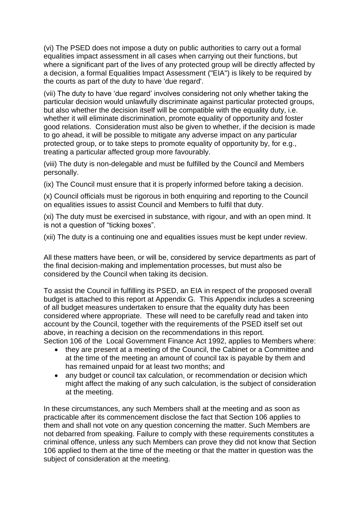(vi) The PSED does not impose a duty on public authorities to carry out a formal equalities impact assessment in all cases when carrying out their functions, but where a significant part of the lives of any protected group will be directly affected by a decision, a formal Equalities Impact Assessment ("EIA") is likely to be required by the courts as part of the duty to have 'due regard'.

(vii) The duty to have 'due regard' involves considering not only whether taking the particular decision would unlawfully discriminate against particular protected groups, but also whether the decision itself will be compatible with the equality duty, i.e. whether it will eliminate discrimination, promote equality of opportunity and foster good relations. Consideration must also be given to whether, if the decision is made to go ahead, it will be possible to mitigate any adverse impact on any particular protected group, or to take steps to promote equality of opportunity by, for e.g., treating a particular affected group more favourably.

(viii) The duty is non-delegable and must be fulfilled by the Council and Members personally.

(ix) The Council must ensure that it is properly informed before taking a decision.

(x) Council officials must be rigorous in both enquiring and reporting to the Council on equalities issues to assist Council and Members to fulfil that duty.

(xi) The duty must be exercised in substance, with rigour, and with an open mind. It is not a question of "ticking boxes".

(xii) The duty is a continuing one and equalities issues must be kept under review.

All these matters have been, or will be, considered by service departments as part of the final decision-making and implementation processes, but must also be considered by the Council when taking its decision.

To assist the Council in fulfilling its PSED, an EIA in respect of the proposed overall budget is attached to this report at Appendix G. This Appendix includes a screening of all budget measures undertaken to ensure that the equality duty has been considered where appropriate. These will need to be carefully read and taken into account by the Council, together with the requirements of the PSED itself set out above, in reaching a decision on the recommendations in this report. Section 106 of the Local Government Finance Act 1992, applies to Members where:

- they are present at a meeting of the Council, the Cabinet or a Committee and at the time of the meeting an amount of council tax is payable by them and has remained unpaid for at least two months; and
- any budget or council tax calculation, or recommendation or decision which might affect the making of any such calculation, is the subject of consideration at the meeting.

In these circumstances, any such Members shall at the meeting and as soon as practicable after its commencement disclose the fact that Section 106 applies to them and shall not vote on any question concerning the matter. Such Members are not debarred from speaking. Failure to comply with these requirements constitutes a criminal offence, unless any such Members can prove they did not know that Section 106 applied to them at the time of the meeting or that the matter in question was the subject of consideration at the meeting.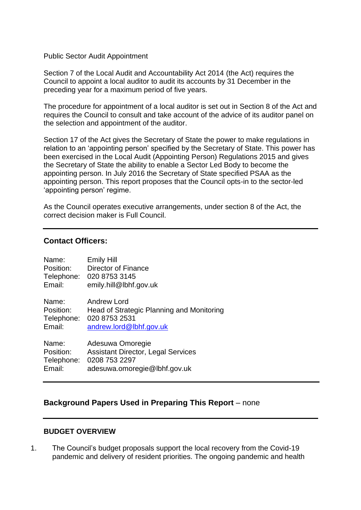#### Public Sector Audit Appointment

Section 7 of the Local Audit and Accountability Act 2014 (the Act) requires the Council to appoint a local auditor to audit its accounts by 31 December in the preceding year for a maximum period of five years.

The procedure for appointment of a local auditor is set out in Section 8 of the Act and requires the Council to consult and take account of the advice of its auditor panel on the selection and appointment of the auditor.

Section 17 of the Act gives the Secretary of State the power to make regulations in relation to an 'appointing person' specified by the Secretary of State. This power has been exercised in the Local Audit (Appointing Person) Regulations 2015 and gives the Secretary of State the ability to enable a Sector Led Body to become the appointing person. In July 2016 the Secretary of State specified PSAA as the appointing person. This report proposes that the Council opts-in to the sector-led 'appointing person' regime.

As the Council operates executive arrangements, under section 8 of the Act, the correct decision maker is Full Council.

#### **Contact Officers:**

| Name:      | <b>Emily Hill</b>                         |
|------------|-------------------------------------------|
| Position:  | Director of Finance                       |
| Telephone: | 020 8753 3145                             |
| Email:     | emily.hill@lbhf.gov.uk                    |
| Name:      | Andrew Lord                               |
| Position:  | Head of Strategic Planning and Monitoring |
| Telephone: | 020 8753 2531                             |
| Email:     | andrew.lord@lbhf.gov.uk                   |
| Name:      | Adesuwa Omoregie                          |
| Position:  | <b>Assistant Director, Legal Services</b> |
| Telephone: | 0208 753 2297                             |
| Email:     | adesuwa.omoregie@lbhf.gov.uk              |

### **Background Papers Used in Preparing This Report** – none

#### **BUDGET OVERVIEW**

1. The Council's budget proposals support the local recovery from the Covid-19 pandemic and delivery of resident priorities. The ongoing pandemic and health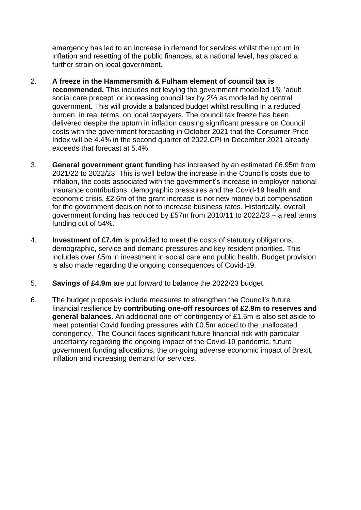emergency has led to an increase in demand for services whilst the upturn in inflation and resetting of the public finances, at a national level, has placed a further strain on local government.

- 2. **A freeze in the Hammersmith & Fulham element of council tax is recommended.** This includes not levying the government modelled 1% 'adult social care precept' or increasing council tax by 2% as modelled by central government. This will provide a balanced budget whilst resulting in a reduced burden, in real terms, on local taxpayers. The council tax freeze has been delivered despite the upturn in inflation causing significant pressure on Council costs with the government forecasting in October 2021 that the Consumer Price Index will be 4.4% in the second quarter of 2022.CPI in December 2021 already exceeds that forecast at 5.4%.
- 3. **General government grant funding** has increased by an estimated £6.95m from 2021/22 to 2022/23. This is well below the increase in the Council's costs due to inflation, the costs associated with the government's increase in employer national insurance contributions, demographic pressures and the Covid-19 health and economic crisis. £2.6m of the grant increase is not new money but compensation for the government decision not to increase business rates. Historically, overall government funding has reduced by £57m from 2010/11 to 2022/23 – a real terms funding cut of 54%.
- 4. **Investment of £7.4m** is provided to meet the costs of statutory obligations, demographic, service and demand pressures and key resident priorities. This includes over £5m in investment in social care and public health. Budget provision is also made regarding the ongoing consequences of Covid-19.
- 5. **Savings of £4.9m** are put forward to balance the 2022/23 budget.
- 6. The budget proposals include measures to strengthen the Council's future financial resilience by **contributing one-off resources of £2.9m to reserves and general balances.** An additional one-off contingency of £1.5m is also set aside to meet potential Covid funding pressures with £0.5m added to the unallocated contingency. The Council faces significant future financial risk with particular uncertainty regarding the ongoing impact of the Covid-19 pandemic, future government funding allocations, the on-going adverse economic impact of Brexit, inflation and increasing demand for services.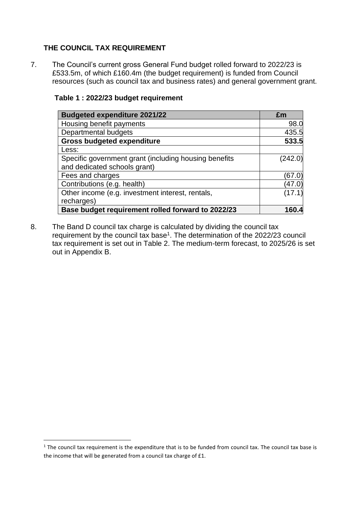## **THE COUNCIL TAX REQUIREMENT**

7. The Council's current gross General Fund budget rolled forward to 2022/23 is £533.5m, of which £160.4m (the budget requirement) is funded from Council resources (such as council tax and business rates) and general government grant.

| <b>Budgeted expenditure 2021/22</b>                   | £m      |
|-------------------------------------------------------|---------|
| Housing benefit payments                              | 98.0    |
| Departmental budgets                                  | 435.5   |
| <b>Gross budgeted expenditure</b>                     | 533.5   |
| Less:                                                 |         |
| Specific government grant (including housing benefits | (242.0) |
| and dedicated schools grant)                          |         |
| Fees and charges                                      | (67.0)  |
| Contributions (e.g. health)                           | (47.0)  |
| Other income (e.g. investment interest, rentals,      | (17.1)  |
| recharges)                                            |         |
| Base budget requirement rolled forward to 2022/23     | 160.4   |

### **Table 1 : 2022/23 budget requirement**

8. The Band D council tax charge is calculated by dividing the council tax requirement by the council tax base<sup>1</sup>. The determination of the 2022/23 council tax requirement is set out in Table 2. The medium-term forecast, to 2025/26 is set out in Appendix B.

<sup>&</sup>lt;sup>1</sup> The council tax requirement is the expenditure that is to be funded from council tax. The council tax base is the income that will be generated from a council tax charge of £1.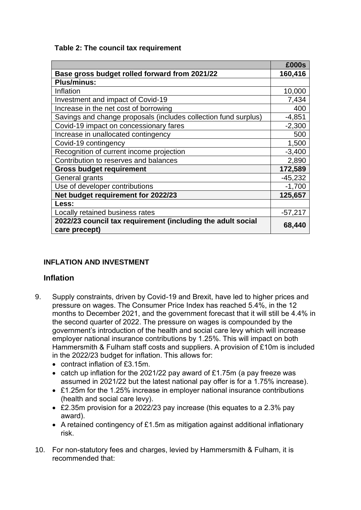**Table 2: The council tax requirement**

|                                                                              | £000s     |
|------------------------------------------------------------------------------|-----------|
| Base gross budget rolled forward from 2021/22                                | 160,416   |
| <b>Plus/minus:</b>                                                           |           |
| Inflation                                                                    | 10,000    |
| Investment and impact of Covid-19                                            | 7,434     |
| Increase in the net cost of borrowing                                        | 400       |
| Savings and change proposals (includes collection fund surplus)              | $-4,851$  |
| Covid-19 impact on concessionary fares                                       | $-2,300$  |
| Increase in unallocated contingency                                          | 500       |
| Covid-19 contingency                                                         | 1,500     |
| Recognition of current income projection                                     | $-3,400$  |
| Contribution to reserves and balances                                        | 2,890     |
| <b>Gross budget requirement</b>                                              | 172,589   |
| General grants                                                               | $-45,232$ |
| Use of developer contributions                                               | $-1,700$  |
| Net budget requirement for 2022/23                                           | 125,657   |
| Less:                                                                        |           |
| Locally retained business rates                                              | $-57,217$ |
| 2022/23 council tax requirement (including the adult social<br>care precept) | 68,440    |

# **INFLATION AND INVESTMENT**

## **Inflation**

- 9. Supply constraints, driven by Covid-19 and Brexit, have led to higher prices and pressure on wages. The Consumer Price Index has reached 5.4%, in the 12 months to December 2021, and the government forecast that it will still be 4.4% in the second quarter of 2022. The pressure on wages is compounded by the government's introduction of the health and social care levy which will increase employer national insurance contributions by 1.25%. This will impact on both Hammersmith & Fulham staff costs and suppliers. A provision of £10m is included in the 2022/23 budget for inflation. This allows for:
	- contract inflation of £3.15m.
	- catch up inflation for the 2021/22 pay award of £1.75m (a pay freeze was assumed in 2021/22 but the latest national pay offer is for a 1.75% increase).
	- £1.25m for the 1.25% increase in employer national insurance contributions (health and social care levy).
	- £2.35m provision for a 2022/23 pay increase (this equates to a 2.3% pay award).
	- A retained contingency of £1.5m as mitigation against additional inflationary risk.
- 10. For non-statutory fees and charges, levied by Hammersmith & Fulham, it is recommended that: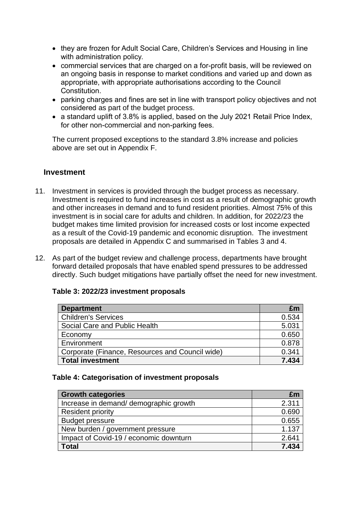- they are frozen for Adult Social Care, Children's Services and Housing in line with administration policy.
- commercial services that are charged on a for-profit basis, will be reviewed on an ongoing basis in response to market conditions and varied up and down as appropriate, with appropriate authorisations according to the Council Constitution.
- parking charges and fines are set in line with transport policy objectives and not considered as part of the budget process.
- a standard uplift of 3.8% is applied, based on the July 2021 Retail Price Index, for other non-commercial and non-parking fees.

The current proposed exceptions to the standard 3.8% increase and policies above are set out in Appendix F.

## **Investment**

- 11. Investment in services is provided through the budget process as necessary. Investment is required to fund increases in cost as a result of demographic growth and other increases in demand and to fund resident priorities. Almost 75% of this investment is in social care for adults and children. In addition, for 2022/23 the budget makes time limited provision for increased costs or lost income expected as a result of the Covid-19 pandemic and economic disruption. The investment proposals are detailed in Appendix C and summarised in Tables 3 and 4.
- 12. As part of the budget review and challenge process, departments have brought forward detailed proposals that have enabled spend pressures to be addressed directly. Such budget mitigations have partially offset the need for new investment.

| <b>Department</b>                               | £m    |
|-------------------------------------------------|-------|
| <b>Children's Services</b>                      | 0.534 |
| Social Care and Public Health                   | 5.031 |
| Economy                                         | 0.650 |
| Environment                                     | 0.878 |
| Corporate (Finance, Resources and Council wide) | 0.341 |
| <b>Total investment</b>                         | 7.434 |

## **Table 3: 2022/23 investment proposals**

### **Table 4: Categorisation of investment proposals**

| <b>Growth categories</b>               | £m    |
|----------------------------------------|-------|
| Increase in demand/demographic growth  | 2.311 |
| <b>Resident priority</b>               | 0.690 |
| <b>Budget pressure</b>                 | 0.655 |
| New burden / government pressure       | 1.137 |
| Impact of Covid-19 / economic downturn | 2.641 |
| Total                                  | 7.434 |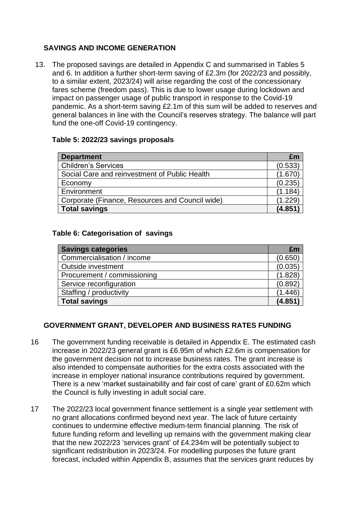## **SAVINGS AND INCOME GENERATION**

13. The proposed savings are detailed in Appendix C and summarised in Tables 5 and 6. In addition a further short-term saving of £2.3m (for 2022/23 and possibly, to a similar extent, 2023/24) will arise regarding the cost of the concessionary fares scheme (freedom pass). This is due to lower usage during lockdown and impact on passenger usage of public transport in response to the Covid-19 pandemic. As a short-term saving £2.1m of this sum will be added to reserves and general balances in line with the Council's reserves strategy. The balance will part fund the one-off Covid-19 contingency.

## **Table 5: 2022/23 savings proposals**

| <b>Department</b>                               | £m      |
|-------------------------------------------------|---------|
| <b>Children's Services</b>                      | (0.533) |
| Social Care and reinvestment of Public Health   | (1.670) |
| Economy                                         | (0.235) |
| Environment                                     | (1.184) |
| Corporate (Finance, Resources and Council wide) | (1.229) |
| <b>Total savings</b>                            | (4.851) |

### **Table 6: Categorisation of savings**

| <b>Savings categories</b>   | £m      |
|-----------------------------|---------|
| Commercialisation / income  | (0.650) |
| Outside investment          | (0.035) |
| Procurement / commissioning | (1.828) |
| Service reconfiguration     | (0.892) |
| Staffing / productivity     | (1.446) |
| <b>Total savings</b>        | (4.851) |

## **GOVERNMENT GRANT, DEVELOPER AND BUSINESS RATES FUNDING**

- 16 The government funding receivable is detailed in Appendix E. The estimated cash increase in 2022/23 general grant is £6.95m of which £2.6m is compensation for the government decision not to increase business rates. The grant increase is also intended to compensate authorities for the extra costs associated with the increase in employer national insurance contributions required by government. There is a new 'market sustainability and fair cost of care' grant of £0.62m which the Council is fully investing in adult social care.
- 17 The 2022/23 local government finance settlement is a single year settlement with no grant allocations confirmed beyond next year. The lack of future certainty continues to undermine effective medium-term financial planning. The risk of future funding reform and levelling up remains with the government making clear that the new 2022/23 'services grant' of £4.234m will be potentially subject to significant redistribution in 2023/24. For modelling purposes the future grant forecast, included within Appendix B, assumes that the services grant reduces by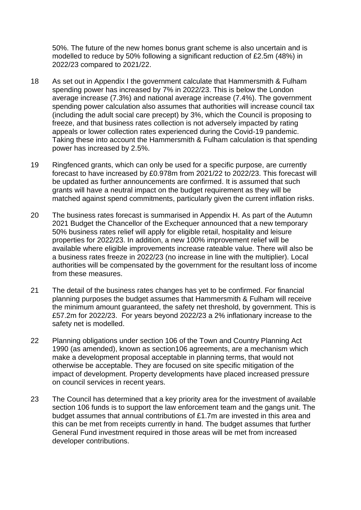50%. The future of the new homes bonus grant scheme is also uncertain and is modelled to reduce by 50% following a significant reduction of £2.5m (48%) in 2022/23 compared to 2021/22.

- 18 As set out in Appendix I the government calculate that Hammersmith & Fulham spending power has increased by 7% in 2022/23. This is below the London average increase (7.3%) and national average increase (7.4%). The government spending power calculation also assumes that authorities will increase council tax (including the adult social care precept) by 3%, which the Council is proposing to freeze, and that business rates collection is not adversely impacted by rating appeals or lower collection rates experienced during the Covid-19 pandemic. Taking these into account the Hammersmith & Fulham calculation is that spending power has increased by 2.5%.
- 19 Ringfenced grants, which can only be used for a specific purpose, are currently forecast to have increased by £0.978m from 2021/22 to 2022/23. This forecast will be updated as further announcements are confirmed. It is assumed that such grants will have a neutral impact on the budget requirement as they will be matched against spend commitments, particularly given the current inflation risks.
- 20 The business rates forecast is summarised in Appendix H. As part of the Autumn 2021 Budget the Chancellor of the Exchequer announced that a new temporary 50% business rates relief will apply for eligible retail, hospitality and leisure properties for 2022/23. In addition, a new 100% improvement relief will be available where eligible improvements increase rateable value. There will also be a business rates freeze in 2022/23 (no increase in line with the multiplier). Local authorities will be compensated by the government for the resultant loss of income from these measures.
- 21 The detail of the business rates changes has yet to be confirmed. For financial planning purposes the budget assumes that Hammersmith & Fulham will receive the minimum amount guaranteed, the safety net threshold, by government. This is £57.2m for 2022/23. For years beyond 2022/23 a 2% inflationary increase to the safety net is modelled.
- 22 Planning obligations under section 106 of the Town and Country Planning Act 1990 (as amended), known as section106 agreements, are a mechanism which make a development proposal acceptable in planning terms, that would not otherwise be acceptable. They are focused on site specific mitigation of the impact of development. Property developments have placed increased pressure on council services in recent years.
- 23 The Council has determined that a key priority area for the investment of available section 106 funds is to support the law enforcement team and the gangs unit. The budget assumes that annual contributions of £1.7m are invested in this area and this can be met from receipts currently in hand. The budget assumes that further General Fund investment required in those areas will be met from increased developer contributions.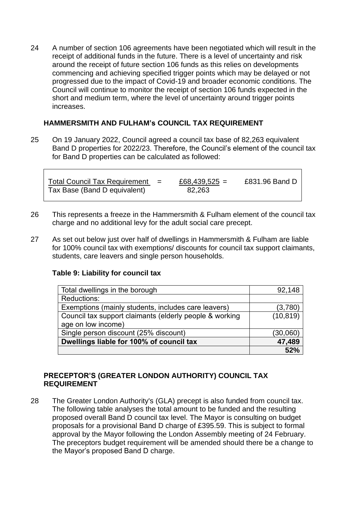24 A number of section 106 agreements have been negotiated which will result in the receipt of additional funds in the future. There is a level of uncertainty and risk around the receipt of future section 106 funds as this relies on developments commencing and achieving specified trigger points which may be delayed or not progressed due to the impact of Covid-19 and broader economic conditions. The Council will continue to monitor the receipt of section 106 funds expected in the short and medium term, where the level of uncertainty around trigger points increases.

## **HAMMERSMITH AND FULHAM's COUNCIL TAX REQUIREMENT**

25 On 19 January 2022, Council agreed a council tax base of 82,263 equivalent Band D properties for 2022/23. Therefore, the Council's element of the council tax for Band D properties can be calculated as followed:

| Total Council Tax Requirement $=$ | £68,439,525 = | £831.96 Band D |
|-----------------------------------|---------------|----------------|
| Tax Base (Band D equivalent)      | 82,263        |                |

- 26 This represents a freeze in the Hammersmith & Fulham element of the council tax charge and no additional levy for the adult social care precept.
- 27 As set out below just over half of dwellings in Hammersmith & Fulham are liable for 100% council tax with exemptions/ discounts for council tax support claimants, students, care leavers and single person households.

### **Table 9: Liability for council tax**

| Total dwellings in the borough                          | 92,148    |
|---------------------------------------------------------|-----------|
| Reductions:                                             |           |
| Exemptions (mainly students, includes care leavers)     | (3,780)   |
| Council tax support claimants (elderly people & working | (10, 819) |
| age on low income)                                      |           |
| Single person discount (25% discount)                   | (30,060)  |
| Dwellings liable for 100% of council tax                | 47,489    |
|                                                         | 52%       |

### **PRECEPTOR'S (GREATER LONDON AUTHORITY) COUNCIL TAX REQUIREMENT**

28 The Greater London Authority's (GLA) precept is also funded from council tax. The following table analyses the total amount to be funded and the resulting proposed overall Band D council tax level. The Mayor is consulting on budget proposals for a provisional Band D charge of £395.59. This is subject to formal approval by the Mayor following the London Assembly meeting of 24 February. The preceptors budget requirement will be amended should there be a change to the Mayor's proposed Band D charge.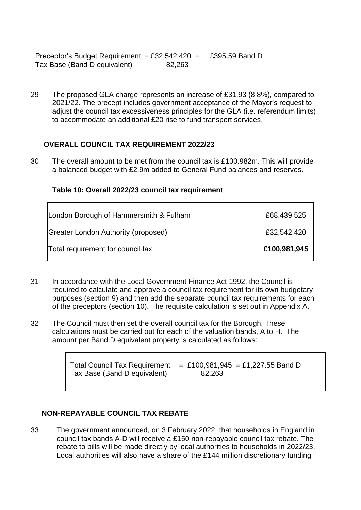| Preceptor's Budget Requirement = $£32,542,420$ = |        | £395.59 Band D |
|--------------------------------------------------|--------|----------------|
| Tax Base (Band D equivalent)                     | 82,263 |                |

29 The proposed GLA charge represents an increase of £31.93 (8.8%), compared to 2021/22. The precept includes government acceptance of the Mayor's request to adjust the council tax excessiveness principles for the GLA (i.e. referendum limits) to accommodate an additional £20 rise to fund transport services.

## **OVERALL COUNCIL TAX REQUIREMENT 2022/23**

30 The overall amount to be met from the council tax is £100.982m. This will provide a balanced budget with £2.9m added to General Fund balances and reserves.

### **Table 10: Overall 2022/23 council tax requirement**

| London Borough of Hammersmith & Fulham     | £68,439,525  |
|--------------------------------------------|--------------|
| <b>Greater London Authority (proposed)</b> | £32,542,420  |
| Total requirement for council tax          | £100,981,945 |

- 31 In accordance with the Local Government Finance Act 1992, the Council is required to calculate and approve a council tax requirement for its own budgetary purposes (section 9) and then add the separate council tax requirements for each of the preceptors (section 10). The requisite calculation is set out in Appendix A.
- 32 The Council must then set the overall council tax for the Borough. These calculations must be carried out for each of the valuation bands, A to H. The amount per Band D equivalent property is calculated as follows:

Total Council Tax Requirement  $= £100,981,945 = £1,227.55$  Band D Tax Base (Band D equivalent) 82,263

## **NON-REPAYABLE COUNCIL TAX REBATE**

33 The government announced, on 3 February 2022, that households in England in council tax bands A-D will receive a £150 non-repayable council tax rebate. The rebate to bills will be made directly by local authorities to households in 2022/23. Local authorities will also have a share of the £144 million discretionary funding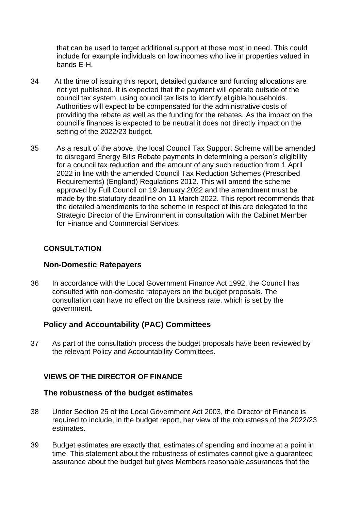that can be used to target additional support at those most in need. This could include for example individuals on low incomes who live in properties valued in bands E-H.

- 34 At the time of issuing this report, detailed guidance and funding allocations are not yet published. It is expected that the payment will operate outside of the council tax system, using council tax lists to identify eligible households. Authorities will expect to be compensated for the administrative costs of providing the rebate as well as the funding for the rebates. As the impact on the council's finances is expected to be neutral it does not directly impact on the setting of the 2022/23 budget.
- 35 As a result of the above, the local Council Tax Support Scheme will be amended to disregard Energy Bills Rebate payments in determining a person's eligibility for a council tax reduction and the amount of any such reduction from 1 April 2022 in line with the amended Council Tax Reduction Schemes (Prescribed Requirements) (England) Regulations 2012. This will amend the scheme approved by Full Council on 19 January 2022 and the amendment must be made by the statutory deadline on 11 March 2022. This report recommends that the detailed amendments to the scheme in respect of this are delegated to the Strategic Director of the Environment in consultation with the Cabinet Member for Finance and Commercial Services.

### **CONSULTATION**

## **Non-Domestic Ratepayers**

36 In accordance with the Local Government Finance Act 1992, the Council has consulted with non-domestic ratepayers on the budget proposals. The consultation can have no effect on the business rate, which is set by the government.

## **Policy and Accountability (PAC) Committees**

37 As part of the consultation process the budget proposals have been reviewed by the relevant Policy and Accountability Committees.

### **VIEWS OF THE DIRECTOR OF FINANCE**

### **The robustness of the budget estimates**

- 38 Under Section 25 of the Local Government Act 2003, the Director of Finance is required to include, in the budget report, her view of the robustness of the 2022/23 estimates.
- 39 Budget estimates are exactly that, estimates of spending and income at a point in time. This statement about the robustness of estimates cannot give a guaranteed assurance about the budget but gives Members reasonable assurances that the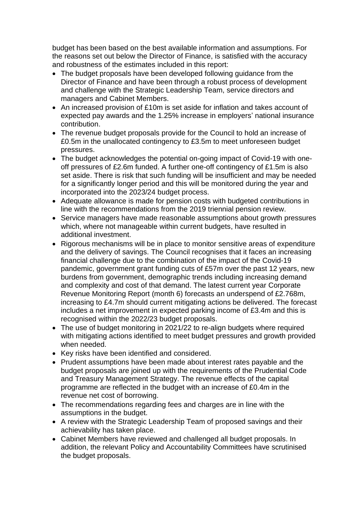budget has been based on the best available information and assumptions. For the reasons set out below the Director of Finance, is satisfied with the accuracy and robustness of the estimates included in this report:

- The budget proposals have been developed following guidance from the Director of Finance and have been through a robust process of development and challenge with the Strategic Leadership Team, service directors and managers and Cabinet Members.
- An increased provision of £10m is set aside for inflation and takes account of expected pay awards and the 1.25% increase in employers' national insurance contribution.
- The revenue budget proposals provide for the Council to hold an increase of £0.5m in the unallocated contingency to £3.5m to meet unforeseen budget pressures.
- The budget acknowledges the potential on-going impact of Covid-19 with oneoff pressures of £2.6m funded. A further one-off contingency of £1.5m is also set aside. There is risk that such funding will be insufficient and may be needed for a significantly longer period and this will be monitored during the year and incorporated into the 2023/24 budget process.
- Adequate allowance is made for pension costs with budgeted contributions in line with the recommendations from the 2019 triennial pension review.
- Service managers have made reasonable assumptions about growth pressures which, where not manageable within current budgets, have resulted in additional investment.
- Rigorous mechanisms will be in place to monitor sensitive areas of expenditure and the delivery of savings. The Council recognises that it faces an increasing financial challenge due to the combination of the impact of the Covid-19 pandemic, government grant funding cuts of £57m over the past 12 years, new burdens from government, demographic trends including increasing demand and complexity and cost of that demand. The latest current year Corporate Revenue Monitoring Report (month 6) forecasts an underspend of £2.768m, increasing to £4.7m should current mitigating actions be delivered. The forecast includes a net improvement in expected parking income of £3.4m and this is recognised within the 2022/23 budget proposals.
- The use of budget monitoring in 2021/22 to re-align budgets where required with mitigating actions identified to meet budget pressures and growth provided when needed.
- Key risks have been identified and considered.
- Prudent assumptions have been made about interest rates payable and the budget proposals are joined up with the requirements of the Prudential Code and Treasury Management Strategy. The revenue effects of the capital programme are reflected in the budget with an increase of £0.4m in the revenue net cost of borrowing.
- The recommendations regarding fees and charges are in line with the assumptions in the budget.
- A review with the Strategic Leadership Team of proposed savings and their achievability has taken place.
- Cabinet Members have reviewed and challenged all budget proposals. In addition, the relevant Policy and Accountability Committees have scrutinised the budget proposals.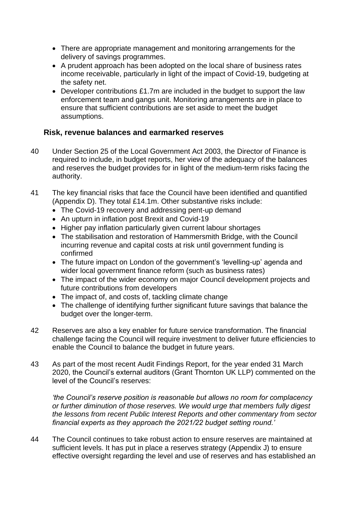- There are appropriate management and monitoring arrangements for the delivery of savings programmes.
- A prudent approach has been adopted on the local share of business rates income receivable, particularly in light of the impact of Covid-19, budgeting at the safety net.
- Developer contributions £1.7m are included in the budget to support the law enforcement team and gangs unit. Monitoring arrangements are in place to ensure that sufficient contributions are set aside to meet the budget assumptions.

## **Risk, revenue balances and earmarked reserves**

- 40 Under Section 25 of the Local Government Act 2003, the Director of Finance is required to include, in budget reports, her view of the adequacy of the balances and reserves the budget provides for in light of the medium-term risks facing the authority.
- 41 The key financial risks that face the Council have been identified and quantified (Appendix D). They total £14.1m. Other substantive risks include:
	- The Covid-19 recovery and addressing pent-up demand
	- An upturn in inflation post Brexit and Covid-19
	- Higher pay inflation particularly given current labour shortages
	- The stabilisation and restoration of Hammersmith Bridge, with the Council incurring revenue and capital costs at risk until government funding is confirmed
	- The future impact on London of the government's 'levelling-up' agenda and wider local government finance reform (such as business rates)
	- The impact of the wider economy on major Council development projects and future contributions from developers
	- The impact of, and costs of, tackling climate change
	- The challenge of identifying further significant future savings that balance the budget over the longer-term.
- 42 Reserves are also a key enabler for future service transformation. The financial challenge facing the Council will require investment to deliver future efficiencies to enable the Council to balance the budget in future years.
- 43 As part of the most recent Audit Findings Report, for the year ended 31 March 2020, the Council's external auditors (Grant Thornton UK LLP) commented on the level of the Council's reserves:

*'the Council's reserve position is reasonable but allows no room for complacency or further diminution of those reserves. We would urge that members fully digest the lessons from recent Public Interest Reports and other commentary from sector financial experts as they approach the 2021/22 budget setting round.'*

44 The Council continues to take robust action to ensure reserves are maintained at sufficient levels. It has put in place a reserves strategy (Appendix J) to ensure effective oversight regarding the level and use of reserves and has established an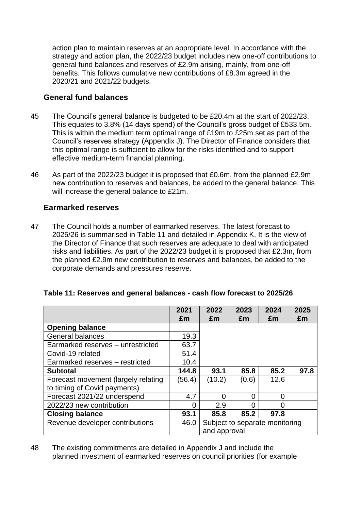action plan to maintain reserves at an appropriate level. In accordance with the strategy and action plan, the 2022/23 budget includes new one-off contributions to general fund balances and reserves of £2.9m arising, mainly, from one-off benefits. This follows cumulative new contributions of £8.3m agreed in the 2020/21 and 2021/22 budgets.

## **General fund balances**

- 45 The Council's general balance is budgeted to be £20.4m at the start of 2022/23. This equates to 3.8% (14 days spend) of the Council's gross budget of £533.5m. This is within the medium term optimal range of £19m to £25m set as part of the Council's reserves strategy (Appendix J). The Director of Finance considers that this optimal range is sufficient to allow for the risks identified and to support effective medium-term financial planning.
- 46 As part of the 2022/23 budget it is proposed that £0.6m, from the planned £2.9m new contribution to reserves and balances, be added to the general balance. This will increase the general balance to £21m.

# **Earmarked reserves**

47 The Council holds a number of earmarked reserves. The latest forecast to 2025/26 is summarised in Table 11 and detailed in Appendix K. It is the view of the Director of Finance that such reserves are adequate to deal with anticipated risks and liabilities. As part of the 2022/23 budget it is proposed that £2.3m, from the planned £2.9m new contribution to reserves and balances, be added to the corporate demands and pressures reserve.

|                                     | 2021<br>£m | 2022<br>£m                     | 2023<br>£m | 2024<br>£m | 2025<br>£m |
|-------------------------------------|------------|--------------------------------|------------|------------|------------|
| <b>Opening balance</b>              |            |                                |            |            |            |
| General balances                    | 19.3       |                                |            |            |            |
| Earmarked reserves - unrestricted   | 63.7       |                                |            |            |            |
| Covid-19 related                    | 51.4       |                                |            |            |            |
| Earmarked reserves - restricted     | 10.4       |                                |            |            |            |
| <b>Subtotal</b>                     | 144.8      | 93.1                           | 85.8       | 85.2       | 97.8       |
| Forecast movement (largely relating | (56.4)     | (10.2)                         | (0.6)      | 12.6       |            |
| to timing of Covid payments)        |            |                                |            |            |            |
| Forecast 2021/22 underspend         | 4.7        | O                              | 0          | 0          |            |
| 2022/23 new contribution            | 0          | 2.9                            | O          | O          |            |
| <b>Closing balance</b>              | 93.1       | 85.8                           | 85.2       | 97.8       |            |
| Revenue developer contributions     | 46.0       | Subject to separate monitoring |            |            |            |
|                                     |            | and approval                   |            |            |            |

## **Table 11: Reserves and general balances - cash flow forecast to 2025/26**

48 The existing commitments are detailed in Appendix J and include the planned investment of earmarked reserves on council priorities (for example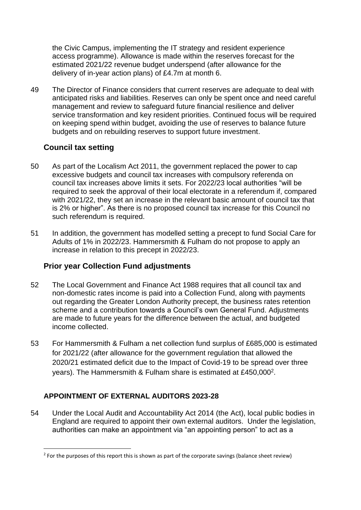the Civic Campus, implementing the IT strategy and resident experience access programme). Allowance is made within the reserves forecast for the estimated 2021/22 revenue budget underspend (after allowance for the delivery of in-year action plans) of £4.7m at month 6.

49 The Director of Finance considers that current reserves are adequate to deal with anticipated risks and liabilities. Reserves can only be spent once and need careful management and review to safeguard future financial resilience and deliver service transformation and key resident priorities. Continued focus will be required on keeping spend within budget, avoiding the use of reserves to balance future budgets and on rebuilding reserves to support future investment.

# **Council tax setting**

- 50 As part of the Localism Act 2011, the government replaced the power to cap excessive budgets and council tax increases with compulsory referenda on council tax increases above limits it sets. For 2022/23 local authorities "will be required to seek the approval of their local electorate in a referendum if, compared with 2021/22, they set an increase in the relevant basic amount of council tax that is 2% or higher". As there is no proposed council tax increase for this Council no such referendum is required.
- 51 In addition, the government has modelled setting a precept to fund Social Care for Adults of 1% in 2022/23. Hammersmith & Fulham do not propose to apply an increase in relation to this precept in 2022/23.

## **Prior year Collection Fund adjustments**

- 52 The Local Government and Finance Act 1988 requires that all council tax and non-domestic rates income is paid into a Collection Fund, along with payments out regarding the Greater London Authority precept, the business rates retention scheme and a contribution towards a Council's own General Fund. Adjustments are made to future years for the difference between the actual, and budgeted income collected.
- 53 For Hammersmith & Fulham a net collection fund surplus of £685,000 is estimated for 2021/22 (after allowance for the government regulation that allowed the 2020/21 estimated deficit due to the Impact of Covid-19 to be spread over three years). The Hammersmith & Fulham share is estimated at £450,000<sup>2</sup>.

## **APPOINTMENT OF EXTERNAL AUDITORS 2023-28**

54 Under the Local Audit and Accountability Act 2014 (the Act), local public bodies in England are required to appoint their own external auditors. Under the legislation, authorities can make an appointment via "an appointing person" to act as a

 $2$  For the purposes of this report this is shown as part of the corporate savings (balance sheet review)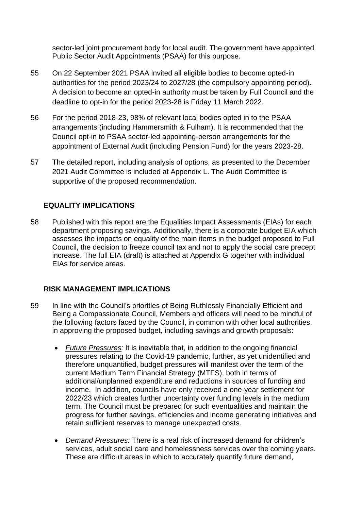sector-led joint procurement body for local audit. The government have appointed Public Sector Audit Appointments (PSAA) for this purpose.

- 55 On 22 September 2021 PSAA invited all eligible bodies to become opted-in authorities for the period 2023/24 to 2027/28 (the compulsory appointing period). A decision to become an opted-in authority must be taken by Full Council and the deadline to opt-in for the period 2023-28 is Friday 11 March 2022.
- 56 For the period 2018-23, 98% of relevant local bodies opted in to the PSAA arrangements (including Hammersmith & Fulham). It is recommended that the Council opt-in to PSAA sector-led appointing-person arrangements for the appointment of External Audit (including Pension Fund) for the years 2023-28.
- 57 The detailed report, including analysis of options, as presented to the December 2021 Audit Committee is included at Appendix L. The Audit Committee is supportive of the proposed recommendation.

# **EQUALITY IMPLICATIONS**

58 Published with this report are the Equalities Impact Assessments (EIAs) for each department proposing savings. Additionally, there is a corporate budget EIA which assesses the impacts on equality of the main items in the budget proposed to Full Council, the decision to freeze council tax and not to apply the social care precept increase. The full EIA (draft) is attached at Appendix G together with individual EIAs for service areas.

# **RISK MANAGEMENT IMPLICATIONS**

- 59 In line with the Council's priorities of Being Ruthlessly Financially Efficient and Being a Compassionate Council, Members and officers will need to be mindful of the following factors faced by the Council, in common with other local authorities, in approving the proposed budget, including savings and growth proposals:
	- *Future Pressures:* It is inevitable that, in addition to the ongoing financial pressures relating to the Covid-19 pandemic, further, as yet unidentified and therefore unquantified, budget pressures will manifest over the term of the current Medium Term Financial Strategy (MTFS), both in terms of additional/unplanned expenditure and reductions in sources of funding and income. In addition, councils have only received a one-year settlement for 2022/23 which creates further uncertainty over funding levels in the medium term. The Council must be prepared for such eventualities and maintain the progress for further savings, efficiencies and income generating initiatives and retain sufficient reserves to manage unexpected costs.
	- *Demand Pressures:* There is a real risk of increased demand for children's services, adult social care and homelessness services over the coming years. These are difficult areas in which to accurately quantify future demand,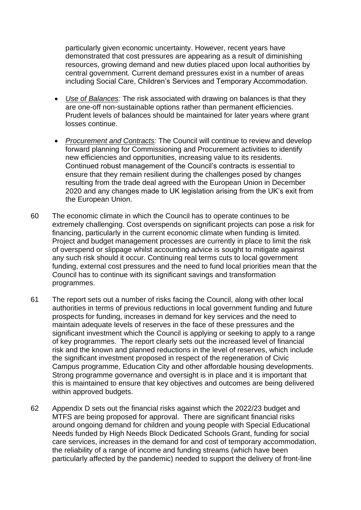particularly given economic uncertainty. However, recent years have demonstrated that cost pressures are appearing as a result of diminishing resources, growing demand and new duties placed upon local authorities by central government. Current demand pressures exist in a number of areas including Social Care, Children's Services and Temporary Accommodation.

- *Use of Balances:* The risk associated with drawing on balances is that they are one-off non-sustainable options rather than permanent efficiencies. Prudent levels of balances should be maintained for later years where grant losses continue.
- *Procurement and Contracts:* The Council will continue to review and develop forward planning for Commissioning and Procurement activities to identify new efficiencies and opportunities, increasing value to its residents. Continued robust management of the Council's contracts is essential to ensure that they remain resilient during the challenges posed by changes resulting from the trade deal agreed with the European Union in December 2020 and any changes made to UK legislation arising from the UK's exit from the European Union.
- 60 The economic climate in which the Council has to operate continues to be extremely challenging. Cost overspends on significant projects can pose a risk for financing, particularly in the current economic climate when funding is limited. Project and budget management processes are currently in place to limit the risk of overspend or slippage whilst accounting advice is sought to mitigate against any such risk should it occur. Continuing real terms cuts to local government funding, external cost pressures and the need to fund local priorities mean that the Council has to continue with its significant savings and transformation programmes.
- 61 The report sets out a number of risks facing the Council, along with other local authorities in terms of previous reductions in local government funding and future prospects for funding, increases in demand for key services and the need to maintain adequate levels of reserves in the face of these pressures and the significant investment which the Council is applying or seeking to apply to a range of key programmes. The report clearly sets out the increased level of financial risk and the known and planned reductions in the level of reserves, which include the significant investment proposed in respect of the regeneration of Civic Campus programme, Education City and other affordable housing developments. Strong programme governance and oversight is in place and it is important that this is maintained to ensure that key objectives and outcomes are being delivered within approved budgets.
- 62 Appendix D sets out the financial risks against which the 2022/23 budget and MTFS are being proposed for approval. There are significant financial risks around ongoing demand for children and young people with Special Educational Needs funded by High Needs Block Dedicated Schools Grant, funding for social care services, increases in the demand for and cost of temporary accommodation, the reliability of a range of income and funding streams (which have been particularly affected by the pandemic) needed to support the delivery of front-line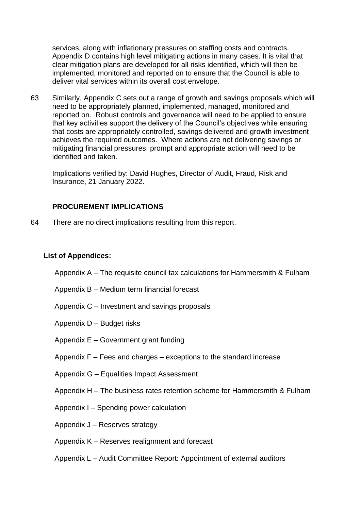services, along with inflationary pressures on staffing costs and contracts. Appendix D contains high level mitigating actions in many cases. It is vital that clear mitigation plans are developed for all risks identified, which will then be implemented, monitored and reported on to ensure that the Council is able to deliver vital services within its overall cost envelope.

63 Similarly, Appendix C sets out a range of growth and savings proposals which will need to be appropriately planned, implemented, managed, monitored and reported on. Robust controls and governance will need to be applied to ensure that key activities support the delivery of the Council's objectives while ensuring that costs are appropriately controlled, savings delivered and growth investment achieves the required outcomes. Where actions are not delivering savings or mitigating financial pressures, prompt and appropriate action will need to be identified and taken.

Implications verified by: David Hughes, Director of Audit, Fraud, Risk and Insurance, 21 January 2022.

### **PROCUREMENT IMPLICATIONS**

64 There are no direct implications resulting from this report.

### **List of Appendices:**

Appendix A – The requisite council tax calculations for Hammersmith & Fulham

Appendix B – Medium term financial forecast

Appendix C – Investment and savings proposals

Appendix D – Budget risks

Appendix E – Government grant funding

Appendix F – Fees and charges – exceptions to the standard increase

Appendix G – Equalities Impact Assessment

Appendix H – The business rates retention scheme for Hammersmith & Fulham

Appendix I – Spending power calculation

Appendix J – Reserves strategy

Appendix K – Reserves realignment and forecast

Appendix L – Audit Committee Report: Appointment of external auditors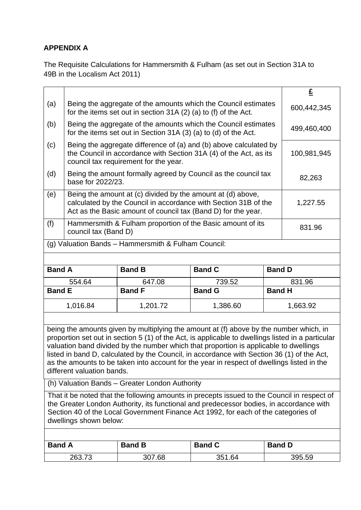# **APPENDIX A**

The Requisite Calculations for Hammersmith & Fulham (as set out in Section 31A to 49B in the Localism Act 2011)

|               |                                                                                                                                                                                                             |                                                     |                                                                                                                                                                                                                                                                                                                                                                                                                                                                                  |               | $\underline{\mathbf{f}}$ |
|---------------|-------------------------------------------------------------------------------------------------------------------------------------------------------------------------------------------------------------|-----------------------------------------------------|----------------------------------------------------------------------------------------------------------------------------------------------------------------------------------------------------------------------------------------------------------------------------------------------------------------------------------------------------------------------------------------------------------------------------------------------------------------------------------|---------------|--------------------------|
| (a)           | Being the aggregate of the amounts which the Council estimates<br>for the items set out in section 31A (2) (a) to (f) of the Act.                                                                           |                                                     |                                                                                                                                                                                                                                                                                                                                                                                                                                                                                  |               | 600,442,345              |
| (b)           | Being the aggregate of the amounts which the Council estimates<br>for the items set out in Section 31A (3) (a) to (d) of the Act.                                                                           |                                                     |                                                                                                                                                                                                                                                                                                                                                                                                                                                                                  |               | 499,460,400              |
| (c)           | Being the aggregate difference of (a) and (b) above calculated by<br>the Council in accordance with Section 31A (4) of the Act, as its<br>council tax requirement for the year.                             |                                                     |                                                                                                                                                                                                                                                                                                                                                                                                                                                                                  |               | 100,981,945              |
| (d)           | Being the amount formally agreed by Council as the council tax<br>base for 2022/23.                                                                                                                         |                                                     |                                                                                                                                                                                                                                                                                                                                                                                                                                                                                  |               | 82,263                   |
| (e)           | Being the amount at (c) divided by the amount at (d) above,<br>calculated by the Council in accordance with Section 31B of the<br>1,227.55<br>Act as the Basic amount of council tax (Band D) for the year. |                                                     |                                                                                                                                                                                                                                                                                                                                                                                                                                                                                  |               |                          |
| (f)           | Hammersmith & Fulham proportion of the Basic amount of its<br>831.96<br>council tax (Band D)                                                                                                                |                                                     |                                                                                                                                                                                                                                                                                                                                                                                                                                                                                  |               |                          |
|               |                                                                                                                                                                                                             | (g) Valuation Bands - Hammersmith & Fulham Council: |                                                                                                                                                                                                                                                                                                                                                                                                                                                                                  |               |                          |
|               |                                                                                                                                                                                                             |                                                     |                                                                                                                                                                                                                                                                                                                                                                                                                                                                                  |               |                          |
| <b>Band A</b> |                                                                                                                                                                                                             | <b>Band B</b>                                       | <b>Band C</b>                                                                                                                                                                                                                                                                                                                                                                                                                                                                    | <b>Band D</b> |                          |
|               | 554.64                                                                                                                                                                                                      | 647.08                                              | 739.52                                                                                                                                                                                                                                                                                                                                                                                                                                                                           |               | 831.96                   |
|               | <b>Band E</b><br><b>Band G</b><br><b>Band F</b><br><b>Band H</b>                                                                                                                                            |                                                     |                                                                                                                                                                                                                                                                                                                                                                                                                                                                                  |               |                          |
|               | 1,016.84                                                                                                                                                                                                    | 1,201.72                                            | 1,386.60                                                                                                                                                                                                                                                                                                                                                                                                                                                                         |               | 1,663.92                 |
|               |                                                                                                                                                                                                             |                                                     |                                                                                                                                                                                                                                                                                                                                                                                                                                                                                  |               |                          |
|               | different valuation bands.                                                                                                                                                                                  |                                                     | being the amounts given by multiplying the amount at (f) above by the number which, in<br>proportion set out in section 5 (1) of the Act, is applicable to dwellings listed in a particular<br>valuation band divided by the number which that proportion is applicable to dwellings<br>listed in band D, calculated by the Council, in accordance with Section 36 (1) of the Act,<br>as the amounts to be taken into account for the year in respect of dwellings listed in the |               |                          |
|               |                                                                                                                                                                                                             | (h) Valuation Bands - Greater London Authority      |                                                                                                                                                                                                                                                                                                                                                                                                                                                                                  |               |                          |
|               | dwellings shown below:                                                                                                                                                                                      |                                                     | That it be noted that the following amounts in precepts issued to the Council in respect of<br>the Greater London Authority, its functional and predecessor bodies, in accordance with<br>Section 40 of the Local Government Finance Act 1992, for each of the categories of                                                                                                                                                                                                     |               |                          |
|               |                                                                                                                                                                                                             |                                                     |                                                                                                                                                                                                                                                                                                                                                                                                                                                                                  |               |                          |
| <b>Band A</b> |                                                                                                                                                                                                             | <b>Band B</b>                                       | <b>Band C</b>                                                                                                                                                                                                                                                                                                                                                                                                                                                                    | <b>Band D</b> |                          |

263.73 307.68 351.64 395.59